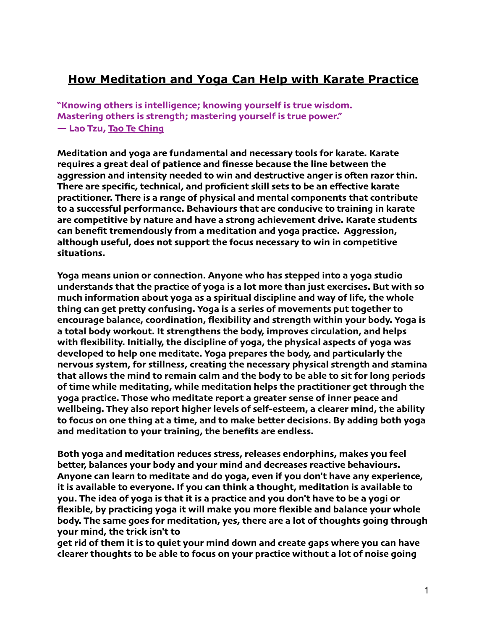# **How Meditation and Yoga Can Help with Karate Practice**

**"Knowing others is intelligence; knowing yourself is true wisdom. Mastering others is strength; mastering yourself is true power." ― Lao Tzu, [Tao Te Ching](https://www.goodreads.com/work/quotes/100074)**

**Meditation and yoga are fundamental and necessary tools for karate. Karate requires a great deal of patience and finesse because the line between the aggression and intensity needed to win and destructive anger is ofen razor thin. There are specific, technical, and proficient skill sets to be an effective karate practitioner. There is a range of physical and mental components that contribute to a successful performance. Behaviours that are conducive to training in karate are competitive by nature and have a strong achievement drive. Karate students can benefit tremendously from a meditation and yoga practice. Aggression, although useful, does not support the focus necessary to win in competitive situations.**

**Yoga means union or connection. Anyone who has stepped into a yoga studio understands that the practice of yoga is a lot more than just exercises. But with so much information about yoga as a spiritual discipline and way of life, the whole thing can get pretty confusing. Yoga is a series of movements put together to encourage balance, coordination, flexibility and strength within your body. Yoga is a total body workout. It strengthens the body, improves circulation, and helps with flexibility. Initially, the discipline of yoga, the physical aspects of yoga was developed to help one meditate. Yoga prepares the body, and particularly the nervous system, for stillness, creating the necessary physical strength and stamina that allows the mind to remain calm and the body to be able to sit for long periods of time while meditating, while meditation helps the practitioner get through the yoga practice. Those who meditate report a greater sense of inner peace and wellbeing. They also report higher levels of self-esteem, a clearer mind, the ability to focus on one thing at a time, and to make better decisions. By adding both yoga and meditation to your training, the benefits are endless.**

**Both yoga and meditation reduces stress, releases endorphins, makes you feel better, balances your body and your mind and decreases reactive behaviours. Anyone can learn to meditate and do yoga, even if you don't have any experience, it is available to everyone. If you can think a thought, meditation is available to you. The idea of yoga is that it is a practice and you don't have to be a yogi or flexible, by practicing yoga it will make you more flexible and balance your whole body. The same goes for meditation, yes, there are a lot of thoughts going through your mind, the trick isn't to**

**get rid of them it is to quiet your mind down and create gaps where you can have clearer thoughts to be able to focus on your practice without a lot of noise going**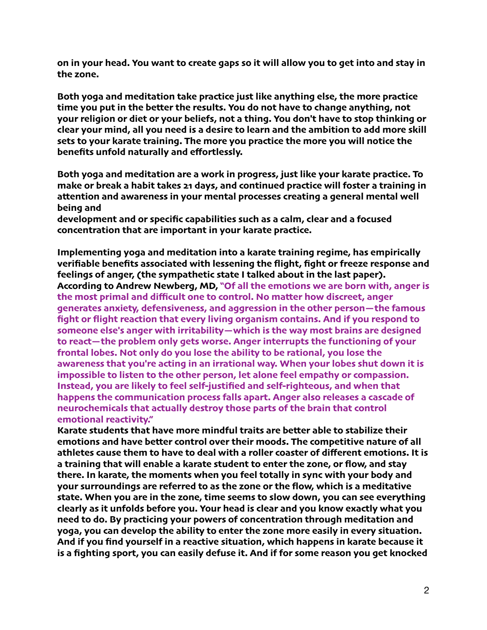**on in your head. You want to create gaps so it will allow you to get into and stay in the zone.**

**Both yoga and meditation take practice just like anything else, the more practice time you put in the better the results. You do not have to change anything, not your religion or diet or your beliefs, not a thing. You don't have to stop thinking or clear your mind, all you need is a desire to learn and the ambition to add more skill sets to your karate training. The more you practice the more you will notice the benefits unfold naturally and effortlessly.**

**Both yoga and meditation are a work in progress, just like your karate practice. To make or break a habit takes 21 days, and continued practice will foster a training in attention and awareness in your mental processes creating a general mental well being and**

**development and or specific capabilities such as a calm, clear and a focused concentration that are important in your karate practice.**

**Implementing yoga and meditation into a karate training regime, has empirically verifiable benefits associated with lessening the flight, fight or freeze response and feelings of anger, (the sympathetic state I talked about in the last paper). According to Andrew Newberg, MD, "Of all the emotions we are born with, anger is the most primal and difficult one to control. No matter how discreet, anger generates anxiety, defensiveness, and aggression in the other person—the famous fight or flight reaction that every living organism contains. And if you respond to someone else's anger with irritability—which is the way most brains are designed to react—the problem only gets worse. Anger interrupts the functioning of your frontal lobes. Not only do you lose the ability to be rational, you lose the awareness that you're acting in an irrational way. When your lobes shut down it is impossible to listen to the other person, let alone feel empathy or compassion. Instead, you are likely to feel self-justified and self-righteous, and when that happens the communication process falls apart. Anger also releases a cascade of neurochemicals that actually destroy those parts of the brain that control emotional reactivity."** 

**Karate students that have more mindful traits are better able to stabilize their emotions and have better control over their moods. The competitive nature of all athletes cause them to have to deal with a roller coaster of different emotions. It is a training that will enable a karate student to enter the zone, or flow, and stay there. In karate, the moments when you feel totally in sync with your body and your surroundings are referred to as the zone or the flow, which is a meditative state. When you are in the zone, time seems to slow down, you can see everything clearly as it unfolds before you. Your head is clear and you know exactly what you need to do. By practicing your powers of concentration through meditation and yoga, you can develop the ability to enter the zone more easily in every situation. And if you find yourself in a reactive situation, which happens in karate because it is a fighting sport, you can easily defuse it. And if for some reason you get knocked**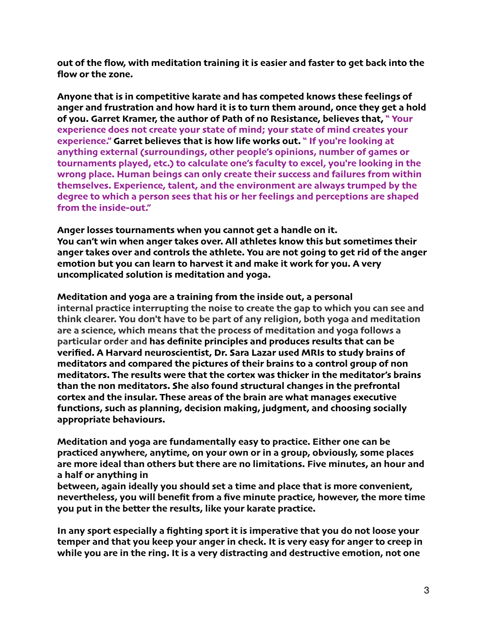**out of the flow, with meditation training it is easier and faster to get back into the flow or the zone.**

**Anyone that is in competitive karate and has competed knows these feelings of anger and frustration and how hard it is to turn them around, once they get a hold of you. Garret Kramer, the author of Path of no Resistance, believes that, " Your experience does not create your state of mind; your state of mind creates your experience." Garret believes that is how life works out. " If you're looking at anything external (surroundings, other people's opinions, number of games or tournaments played, etc.) to calculate one's faculty to excel, you're looking in the wrong place. Human beings can only create their success and failures from within themselves. Experience, talent, and the environment are always trumped by the degree to which a person sees that his or her feelings and perceptions are shaped from the inside-out."** 

**Anger losses tournaments when you cannot get a handle on it. You can't win when anger takes over. All athletes know this but sometimes their anger takes over and controls the athlete. You are not going to get rid of the anger emotion but you can learn to harvest it and make it work for you. A very uncomplicated solution is meditation and yoga.**

**Meditation and yoga are a training from the inside out, a personal internal practice interrupting the noise to create the gap to which you can see and think clearer. You don't have to be part of any religion, both yoga and meditation are a science, which means that the process of meditation and yoga follows a particular order and has definite principles and produces results that can be verified. A Harvard neuroscientist, Dr. Sara Lazar used MRIs to study brains of meditators and compared the pictures of their brains to a control group of non meditators. The results were that the cortex was thicker in the meditator's brains than the non meditators. She also found structural changes in the prefrontal cortex and the insular. These areas of the brain are what manages executive functions, such as planning, decision making, judgment, and choosing socially appropriate behaviours.**

**Meditation and yoga are fundamentally easy to practice. Either one can be practiced anywhere, anytime, on your own or in a group, obviously, some places are more ideal than others but there are no limitations. Five minutes, an hour and a half or anything in**

**between, again ideally you should set a time and place that is more convenient, nevertheless, you will benefit from a five minute practice, however, the more time you put in the better the results, like your karate practice.**

**In any sport especially a fighting sport it is imperative that you do not loose your temper and that you keep your anger in check. It is very easy for anger to creep in while you are in the ring. It is a very distracting and destructive emotion, not one**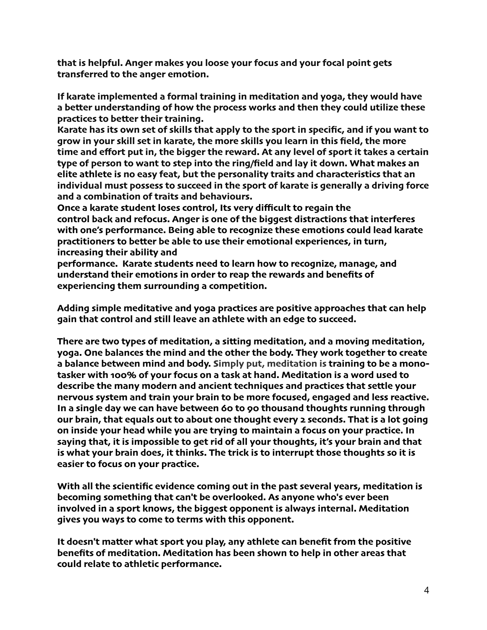**that is helpful. Anger makes you loose your focus and your focal point gets transferred to the anger emotion.**

**If karate implemented a formal training in meditation and yoga, they would have a better understanding of how the process works and then they could utilize these practices to better their training.**

**Karate has its own set of skills that apply to the sport in specific, and if you want to grow in your skill set in karate, the more skills you learn in this field, the more time and effort put in, the bigger the reward. At any level of sport it takes a certain type of person to want to step into the ring/field and lay it down. What makes an elite athlete is no easy feat, but the personality traits and characteristics that an individual must possess to succeed in the sport of karate is generally a driving force and a combination of traits and behaviours.**

**Once a karate student loses control, Its very difficult to regain the control back and refocus. Anger is one of the biggest distractions that interferes with one's performance. Being able to recognize these emotions could lead karate practitioners to better be able to use their emotional experiences, in turn, increasing their ability and**

**performance. Karate students need to learn how to recognize, manage, and understand their emotions in order to reap the rewards and benefits of experiencing them surrounding a competition.**

**Adding simple meditative and yoga practices are positive approaches that can help gain that control and still leave an athlete with an edge to succeed.**

**There are two types of meditation, a sitting meditation, and a moving meditation, yoga. One balances the mind and the other the body. They work together to create a balance between mind and body. Simply put, meditation is training to be a monotasker with 100% of your focus on a task at hand. Meditation is a word used to describe the many modern and ancient techniques and practices that settle your nervous system and train your brain to be more focused, engaged and less reactive. In a single day we can have between 60 to 90 thousand thoughts running through our brain, that equals out to about one thought every 2 seconds. That is a lot going on inside your head while you are trying to maintain a focus on your practice. In saying that, it is impossible to get rid of all your thoughts, it's your brain and that is what your brain does, it thinks. The trick is to interrupt those thoughts so it is easier to focus on your practice.**

**With all the scientific evidence coming out in the past several years, meditation is becoming something that can't be overlooked. As anyone who's ever been involved in a sport knows, the biggest opponent is always internal. Meditation gives you ways to come to terms with this opponent.**

**It doesn't matter what sport you play, any athlete can benefit from the positive benefits of meditation. Meditation has been shown to help in other areas that could relate to athletic performance.**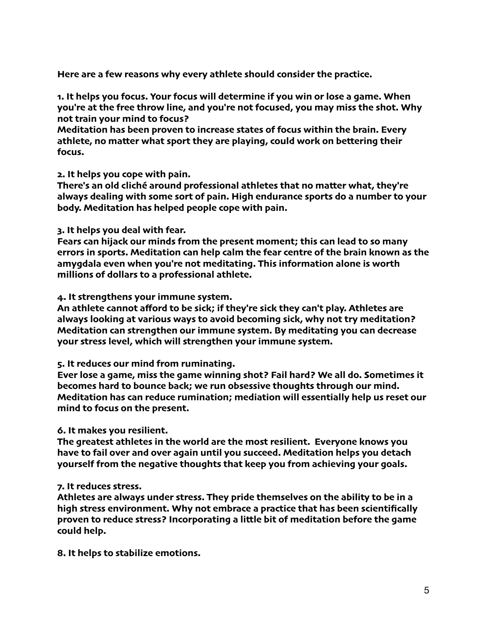**Here are a few reasons why every athlete should consider the practice.**

**1. It helps you focus. Your focus will determine if you win or lose a game. When you're at the free throw line, and you're not focused, you may miss the shot. Why not train your mind to focus?** 

**Meditation has been proven to increase states of focus within the brain. Every athlete, no matter what sport they are playing, could work on bettering their focus.**

#### **2. It helps you cope with pain.**

**There's an old cliché around professional athletes that no matter what, they're always dealing with some sort of pain. High endurance sports do a number to your body. Meditation has helped people cope with pain.**

#### **3. It helps you deal with fear.**

**Fears can hijack our minds from the present moment; this can lead to so many errors in sports. Meditation can help calm the fear centre of the brain known as the amygdala even when you're not meditating. This information alone is worth millions of dollars to a professional athlete.**

#### **4. It strengthens your immune system.**

**An athlete cannot afford to be sick; if they're sick they can't play. Athletes are always looking at various ways to avoid becoming sick, why not try meditation? Meditation can strengthen our immune system. By meditating you can decrease your stress level, which will strengthen your immune system.**

#### **5. It reduces our mind from ruminating.**

**Ever lose a game, miss the game winning shot? Fail hard? We all do. Sometimes it becomes hard to bounce back; we run obsessive thoughts through our mind. Meditation has can reduce rumination; mediation will essentially help us reset our mind to focus on the present.**

#### **6. It makes you resilient.**

**The greatest athletes in the world are the most resilient. Everyone knows you have to fail over and over again until you succeed. Meditation helps you detach yourself from the negative thoughts that keep you from achieving your goals.**

#### **7. It reduces stress.**

**Athletes are always under stress. They pride themselves on the ability to be in a high stress environment. Why not embrace a practice that has been scientifically proven to reduce stress? Incorporating a little bit of meditation before the game could help.**

**8. It helps to stabilize emotions.**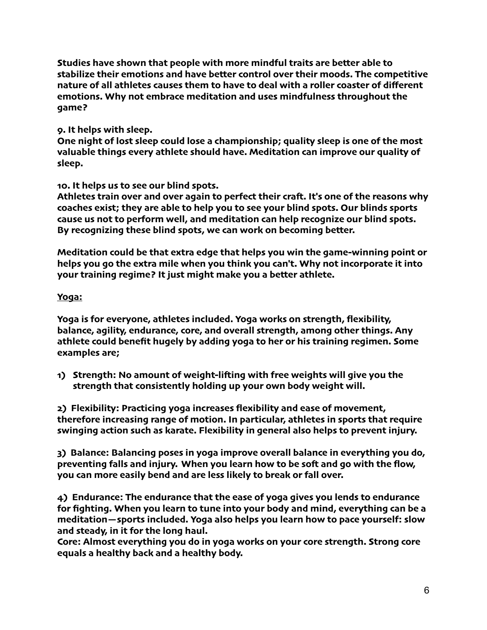**Studies have shown that people with more mindful traits are better able to stabilize their emotions and have better control over their moods. The competitive nature of all athletes causes them to have to deal with a roller coaster of different emotions. Why not embrace meditation and uses mindfulness throughout the game?**

### **9. It helps with sleep.**

**One night of lost sleep could lose a championship; quality sleep is one of the most valuable things every athlete should have. Meditation can improve our quality of sleep.**

**10. It helps us to see our blind spots.**

**Athletes train over and over again to perfect their craf. It's one of the reasons why coaches exist; they are able to help you to see your blind spots. Our blinds sports cause us not to perform well, and meditation can help recognize our blind spots. By recognizing these blind spots, we can work on becoming better.**

**Meditation could be that extra edge that helps you win the game-winning point or helps you go the extra mile when you think you can't. Why not incorporate it into your training regime? It just might make you a better athlete.**

### **Yoga:**

**Yoga is for everyone, athletes included. Yoga works on strength, flexibility, balance, agility, endurance, core, and overall strength, among other things. Any athlete could benefit hugely by adding yoga to her or his training regimen. Some examples are;**

**1) Strength: No amount of weight-lifing with free weights will give you the strength that consistently holding up your own body weight will.**

**2) Flexibility: Practicing yoga increases flexibility and ease of movement, therefore increasing range of motion. In particular, athletes in sports that require swinging action such as karate. Flexibility in general also helps to prevent injury.**

**3) Balance: Balancing poses in yoga improve overall balance in everything you do, preventing falls and injury. When you learn how to be sof and go with the flow, you can more easily bend and are less likely to break or fall over.**

**4) Endurance: The endurance that the ease of yoga gives you lends to endurance for fighting. When you learn to tune into your body and mind, everything can be a meditation—sports included. Yoga also helps you learn how to pace yourself: slow and steady, in it for the long haul.**

**Core: Almost everything you do in yoga works on your core strength. Strong core equals a healthy back and a healthy body.**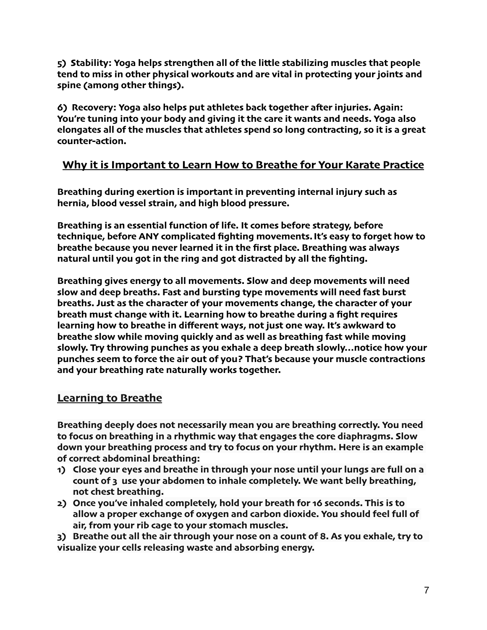**5) Stability: Yoga helps strengthen all of the little stabilizing muscles that people tend to miss in other physical workouts and are vital in protecting your joints and spine (among other things).**

**6) Recovery: Yoga also helps put athletes back together afer injuries. Again: You're tuning into your body and giving it the care it wants and needs. Yoga also elongates all of the muscles that athletes spend so long contracting, so it is a great counter-action.**

## **Why it is Important to Learn How to Breathe for Your Karate Practice**

**Breathing during exertion is important in preventing internal injury such as hernia, blood vessel strain, and high blood pressure.**

**Breathing is an essential function of life. It comes before strategy, before technique, before ANY complicated fighting movements. It's easy to forget how to breathe because you never learned it in the first place. Breathing was always natural until you got in the ring and got distracted by all the fighting.**

**Breathing gives energy to all movements. Slow and deep movements will need slow and deep breaths. Fast and bursting type movements will need fast burst breaths. Just as the character of your movements change, the character of your breath must change with it. Learning how to breathe during a fight requires learning how to breathe in different ways, not just one way. It's awkward to breathe slow while moving quickly and as well as breathing fast while moving slowly. Try throwing punches as you exhale a deep breath slowly…notice how your punches seem to force the air out of you? That's because your muscle contractions and your breathing rate naturally works together.**

### **Learning to Breathe**

**Breathing deeply does not necessarily mean you are breathing correctly. You need to focus on breathing in a rhythmic way that engages the core diaphragms. Slow down your breathing process and try to focus on your rhythm. Here is an example of correct abdominal breathing:**

- **1) Close your eyes and breathe in through your nose until your lungs are full on a count of 3 use your abdomen to inhale completely. We want belly breathing, not chest breathing.**
- **2) Once you've inhaled completely, hold your breath for 16 seconds. This is to allow a proper exchange of oxygen and carbon dioxide. You should feel full of air, from your rib cage to your stomach muscles.**

**3) Breathe out all the air through your nose on a count of 8. As you exhale, try to visualize your cells releasing waste and absorbing energy.**